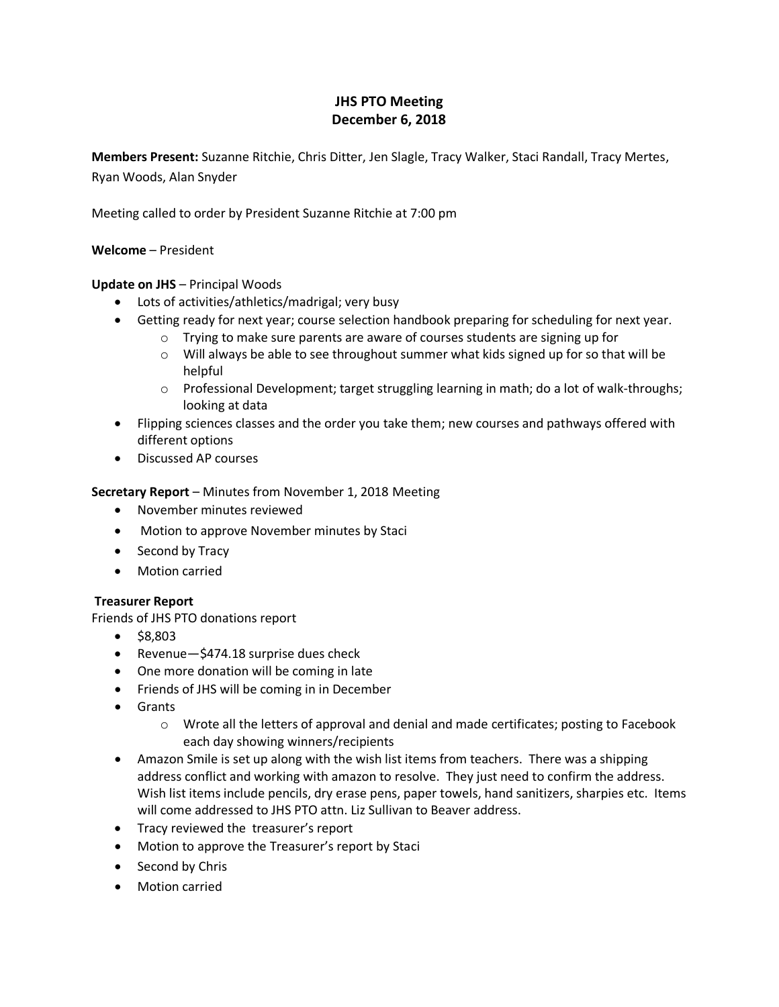# **JHS PTO Meeting December 6, 2018**

**Members Present:** Suzanne Ritchie, Chris Ditter, Jen Slagle, Tracy Walker, Staci Randall, Tracy Mertes, Ryan Woods, Alan Snyder

Meeting called to order by President Suzanne Ritchie at 7:00 pm

## **Welcome** – President

# **Update on JHS** – Principal Woods

- Lots of activities/athletics/madrigal; very busy
- Getting ready for next year; course selection handbook preparing for scheduling for next year.
	- $\circ$  Trying to make sure parents are aware of courses students are signing up for
	- $\circ$  Will always be able to see throughout summer what kids signed up for so that will be helpful
	- o Professional Development; target struggling learning in math; do a lot of walk-throughs; looking at data
- Flipping sciences classes and the order you take them; new courses and pathways offered with different options
- Discussed AP courses

# **Secretary Report** – Minutes from November 1, 2018 Meeting

- November minutes reviewed
- Motion to approve November minutes by Staci
- Second by Tracy
- Motion carried

#### **Treasurer Report**

Friends of JHS PTO donations report

- $•$  \$8,803
- Revenue—\$474.18 surprise dues check
- One more donation will be coming in late
- Friends of JHS will be coming in in December
- Grants
	- $\circ$  Wrote all the letters of approval and denial and made certificates; posting to Facebook each day showing winners/recipients
- Amazon Smile is set up along with the wish list items from teachers. There was a shipping address conflict and working with amazon to resolve. They just need to confirm the address. Wish list items include pencils, dry erase pens, paper towels, hand sanitizers, sharpies etc. Items will come addressed to JHS PTO attn. Liz Sullivan to Beaver address.
- Tracy reviewed the treasurer's report
- Motion to approve the Treasurer's report by Staci
- Second by Chris
- Motion carried